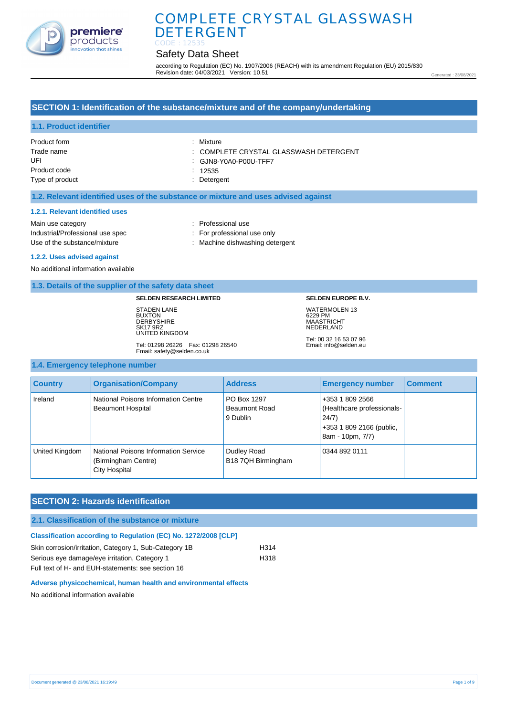

# Safety Data Sheet

according to Regulation (EC) No. 1907/2006 (REACH) with its amendment Regulation (EU) 2015/830 Revision date: 04/03/2021 Version: 10.51

Generated : 23/08/2021

# **SECTION 1: Identification of the substance/mixture and of the company/undertaking**

# **1.1. Product identifier**

| Product form    | : Mixture                              |
|-----------------|----------------------------------------|
| Trade name      | : COMPLETE CRYSTAL GLASSWASH DETERGENT |
| UFI             | : GJN8-Y0A0-P00U-TFF7                  |
| Product code    | 12535                                  |
| Type of product | : Detergent                            |

#### **1.2. Relevant identified uses of the substance or mixture and uses advised against**

#### **1.2.1. Relevant identified uses**

Main use category **Example 20** and 20 and 20 and 20 and 20 and 20 and 20 and 20 and 20 and 20 and 20 and 20 and 20 and 20 and 20 and 20 and 20 and 20 and 20 and 20 and 20 and 20 and 20 and 20 and 20 and 20 and 20 and 20 an Industrial/Professional use spec : For professional use only

Use of the substance/mixture in the substance in the set of the substance/mixture in the set of the substance of the substance of the substance of the substance of the substance of the substance of the substance of the sub

#### **1.2.2. Uses advised against**

No additional information available

#### **1.3. Details of the supplier of the safety data sheet**

#### **SELDEN RESEARCH LIMITED**

STADEN LANE BUXTON **DERBYSHIRE** SK17 9RZ UNITED KINGDOM

Tel: 01298 26226 Fax: 01298 26540 Email: safety@selden.co.uk

#### **SELDEN EUROPE B.V.**

WATERMOLEN 13 6229 PM MAASTRICHT NEDERLAND Tel: 00 32 16 53 07 96

Email: info@selden.eu

#### **1.4. Emergency telephone number**

| <b>Country</b> | <b>Organisation/Company</b>                                                  | <b>Address</b>                           | <b>Emergency number</b>                                                                                | <b>Comment</b> |
|----------------|------------------------------------------------------------------------------|------------------------------------------|--------------------------------------------------------------------------------------------------------|----------------|
| Ireland        | National Poisons Information Centre<br><b>Beaumont Hospital</b>              | PO Box 1297<br>Beaumont Road<br>9 Dublin | +353 1 809 2566<br>(Healthcare professionals-<br>24/7)<br>+353 1 809 2166 (public,<br>8am - 10pm, 7/7) |                |
| United Kingdom | National Poisons Information Service<br>(Birmingham Centre)<br>City Hospital | Dudley Road<br>B18 7QH Birmingham        | 0344 892 0111                                                                                          |                |

## **SECTION 2: Hazards identification**

#### **2.1. Classification of the substance or mixture**

# **Classification according to Regulation (EC) No. 1272/2008 [CLP]** Skin corrosion/irritation, Category 1, Sub-Category 1B H314

Serious eye damage/eye irritation, Category 1 H318 Full text of H- and EUH-statements: see section 16

#### **Adverse physicochemical, human health and environmental effects**

No additional information available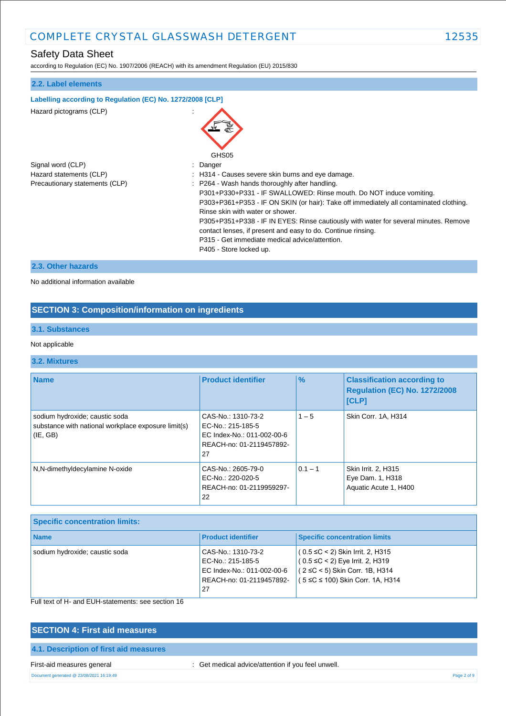# Safety Data Sheet

according to Regulation (EC) No. 1907/2006 (REACH) with its amendment Regulation (EU) 2015/830

| 2.2. Label elements                                        |                                                                                                                                                                                                                                                                                                                                                                                                                                                                                          |
|------------------------------------------------------------|------------------------------------------------------------------------------------------------------------------------------------------------------------------------------------------------------------------------------------------------------------------------------------------------------------------------------------------------------------------------------------------------------------------------------------------------------------------------------------------|
| Labelling according to Regulation (EC) No. 1272/2008 [CLP] |                                                                                                                                                                                                                                                                                                                                                                                                                                                                                          |
| Hazard pictograms (CLP)                                    | GHS05                                                                                                                                                                                                                                                                                                                                                                                                                                                                                    |
| Signal word (CLP)                                          | : Danger                                                                                                                                                                                                                                                                                                                                                                                                                                                                                 |
| Hazard statements (CLP)                                    | : H314 - Causes severe skin burns and eye damage.                                                                                                                                                                                                                                                                                                                                                                                                                                        |
| Precautionary statements (CLP)                             | : P264 - Wash hands thoroughly after handling.<br>P301+P330+P331 - IF SWALLOWED: Rinse mouth. Do NOT induce vomiting.<br>P303+P361+P353 - IF ON SKIN (or hair): Take off immediately all contaminated clothing.<br>Rinse skin with water or shower.<br>P305+P351+P338 - IF IN EYES: Rinse cautiously with water for several minutes. Remove<br>contact lenses, if present and easy to do. Continue rinsing.<br>P315 - Get immediate medical advice/attention.<br>P405 - Store locked up. |
| 2.3. Other hazards                                         |                                                                                                                                                                                                                                                                                                                                                                                                                                                                                          |

No additional information available

# **SECTION 3: Composition/information on ingredients**

## **3.1. Substances**

## Not applicable

## **3.2. Mixtures**

| <b>Name</b>                                                                                       | <b>Product identifier</b>                                                                               | $\frac{9}{6}$ | <b>Classification according to</b><br><b>Regulation (EC) No. 1272/2008</b><br><b>[CLP]</b> |
|---------------------------------------------------------------------------------------------------|---------------------------------------------------------------------------------------------------------|---------------|--------------------------------------------------------------------------------------------|
| sodium hydroxide; caustic soda<br>substance with national workplace exposure limit(s)<br>(IE, GB) | CAS-No.: 1310-73-2<br>EC-No.: 215-185-5<br>EC Index-No.: 011-002-00-6<br>REACH-no: 01-2119457892-<br>27 | $1 - 5$       | Skin Corr. 1A, H314                                                                        |
| N,N-dimethyldecylamine N-oxide                                                                    | CAS-No.: 2605-79-0<br>EC-No.: 220-020-5<br>REACH-no: 01-2119959297-<br>22                               | $0.1 - 1$     | Skin Irrit. 2, H315<br>Eye Dam. 1, H318<br>Aquatic Acute 1, H400                           |

| <b>Specific concentration limits:</b> |                                                                                                         |                                                                                                                                                            |
|---------------------------------------|---------------------------------------------------------------------------------------------------------|------------------------------------------------------------------------------------------------------------------------------------------------------------|
| <b>Name</b>                           | <b>Product identifier</b>                                                                               | <b>Specific concentration limits</b>                                                                                                                       |
| sodium hydroxide; caustic soda        | CAS-No.: 1310-73-2<br>EC-No.: 215-185-5<br>EC Index-No.: 011-002-00-6<br>REACH-no: 01-2119457892-<br>27 | $(0.5 \leq C < 2)$ Skin Irrit. 2, H315<br>$(0.5 \leq C < 2)$ Eye Irrit. 2, H319<br>$(2 \le C < 5)$ Skin Corr. 1B, H314<br>(5 ≤C ≤ 100) Skin Corr. 1A, H314 |

Full text of H- and EUH-statements: see section 16

# **SECTION 4: First aid measures 4.1. Description of first aid measures**

First-aid measures general interval in the set of the contract of the distribution if you feel unwell.

Document generated @ 23/08/2021 16:19:49 Page 2 of 9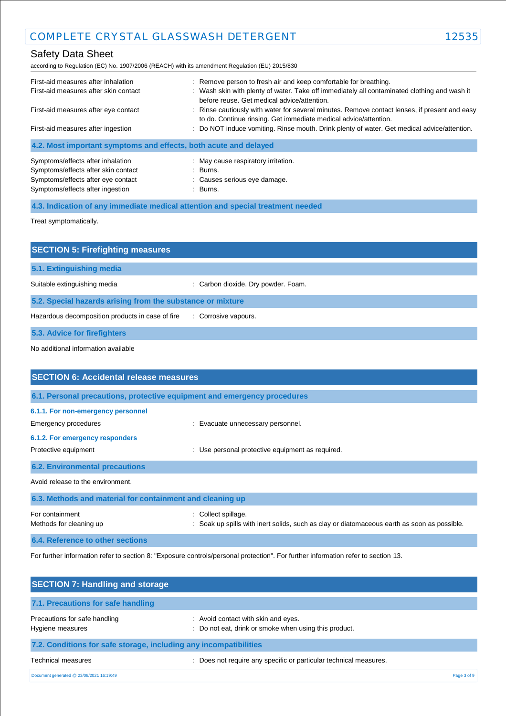# Safety Data Sheet

according to Regulation (EC) No. 1907/2006 (REACH) with its amendment Regulation (EU) 2015/830

| First-aid measures after inhalation                              | : Remove person to fresh air and keep comfortable for breathing.                                                                                                  |
|------------------------------------------------------------------|-------------------------------------------------------------------------------------------------------------------------------------------------------------------|
| First-aid measures after skin contact                            | : Wash skin with plenty of water. Take off immediately all contaminated clothing and wash it<br>before reuse. Get medical advice/attention.                       |
| First-aid measures after eye contact                             | : Rinse cautiously with water for several minutes. Remove contact lenses, if present and easy<br>to do. Continue rinsing. Get immediate medical advice/attention. |
| First-aid measures after ingestion                               | : Do NOT induce vomiting. Rinse mouth. Drink plenty of water. Get medical advice/attention.                                                                       |
| 4.2. Most important symptoms and effects, both acute and delayed |                                                                                                                                                                   |
| Symptoms/effects after inhalation                                | : May cause respiratory irritation.                                                                                                                               |
| Symptoms/effects after skin contact                              | : Burns.                                                                                                                                                          |
| Symptoms/effects after eye contact                               | : Causes serious eye damage.                                                                                                                                      |

**4.3. Indication of any immediate medical attention and special treatment needed**

Symptoms/effects after ingestion : Burns.

Treat symptomatically.

| <b>SECTION 5: Firefighting measures</b>                    |                                     |
|------------------------------------------------------------|-------------------------------------|
| 5.1. Extinguishing media                                   |                                     |
| Suitable extinguishing media                               | : Carbon dioxide. Dry powder. Foam. |
| 5.2. Special hazards arising from the substance or mixture |                                     |
| Hazardous decomposition products in case of fire           | : Corrosive vapours.                |
| 5.3. Advice for firefighters                               |                                     |

No additional information available

| <b>SECTION 6: Accidental release measures</b>             |                                                                                                                     |
|-----------------------------------------------------------|---------------------------------------------------------------------------------------------------------------------|
|                                                           | 6.1. Personal precautions, protective equipment and emergency procedures                                            |
| 6.1.1. For non-emergency personnel                        |                                                                                                                     |
| Emergency procedures                                      | : Evacuate unnecessary personnel.                                                                                   |
| 6.1.2. For emergency responders                           |                                                                                                                     |
| Protective equipment                                      | : Use personal protective equipment as required.                                                                    |
| <b>6.2. Environmental precautions</b>                     |                                                                                                                     |
| Avoid release to the environment.                         |                                                                                                                     |
| 6.3. Methods and material for containment and cleaning up |                                                                                                                     |
| For containment<br>Methods for cleaning up                | Collect spillage.<br>÷<br>Soak up spills with inert solids, such as clay or diatomaceous earth as soon as possible. |
| 6.4. Reference to other sections                          |                                                                                                                     |

For further information refer to section 8: "Exposure controls/personal protection". For further information refer to section 13.

| <b>SECTION 7: Handling and storage</b>                            |                                                                                              |             |
|-------------------------------------------------------------------|----------------------------------------------------------------------------------------------|-------------|
| 7.1. Precautions for safe handling                                |                                                                                              |             |
| Precautions for safe handling<br>Hygiene measures                 | : Avoid contact with skin and eyes.<br>: Do not eat, drink or smoke when using this product. |             |
| 7.2. Conditions for safe storage, including any incompatibilities |                                                                                              |             |
| <b>Technical measures</b>                                         | : Does not require any specific or particular technical measures.                            |             |
| Document generated @ 23/08/2021 16:19:49                          |                                                                                              | Page 3 of 9 |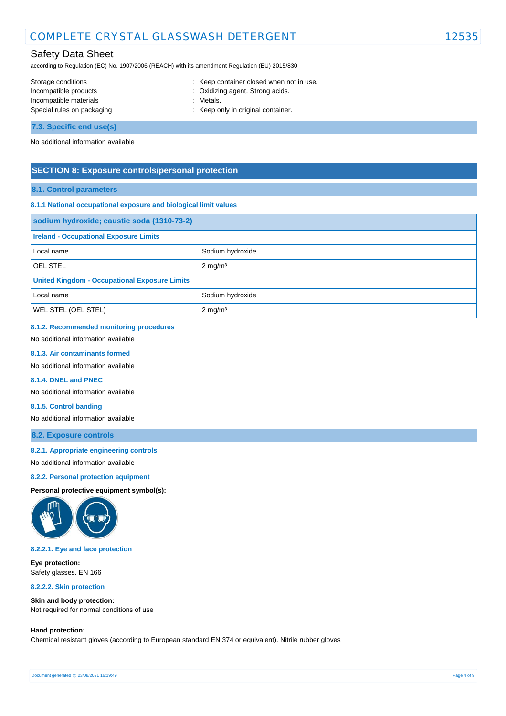# Safety Data Sheet

according to Regulation (EC) No. 1907/2006 (REACH) with its amendment Regulation (EU) 2015/830

| Storage conditions         | : Keep container closed when not in use. |
|----------------------------|------------------------------------------|
| Incompatible products      | : Oxidizing agent. Strong acids.         |
| Incompatible materials     | : Metals.                                |
| Special rules on packaging | : Keep only in original container.       |
| 7.3. Specific end use(s)   |                                          |

No additional information available

## **SECTION 8: Exposure controls/personal protection**

## **8.1. Control parameters**

#### **8.1.1 National occupational exposure and biological limit values**

| sodium hydroxide; caustic soda (1310-73-2)           |                    |  |
|------------------------------------------------------|--------------------|--|
| <b>Ireland - Occupational Exposure Limits</b>        |                    |  |
| Local name                                           | Sodium hydroxide   |  |
| <b>OEL STEL</b>                                      | $2 \text{ mg/m}^3$ |  |
| <b>United Kingdom - Occupational Exposure Limits</b> |                    |  |
| Sodium hydroxide<br>Local name                       |                    |  |
| <b>WEL STEL (OEL STEL)</b><br>$2 \text{ mg/m}^3$     |                    |  |

# **8.1.2. Recommended monitoring procedures**

No additional information available

#### **8.1.3. Air contaminants formed**

No additional information available

#### **8.1.4. DNEL and PNEC**

No additional information available

#### **8.1.5. Control banding**

No additional information available

## **8.2. Exposure controls**

#### **8.2.1. Appropriate engineering controls**

No additional information available

#### **8.2.2. Personal protection equipment**

**Personal protective equipment symbol(s):**



#### **8.2.2.1. Eye and face protection**

**Eye protection:** Safety glasses. EN 166

**8.2.2.2. Skin protection**

# **Skin and body protection:**

Not required for normal conditions of use

#### **Hand protection:**

Chemical resistant gloves (according to European standard EN 374 or equivalent). Nitrile rubber gloves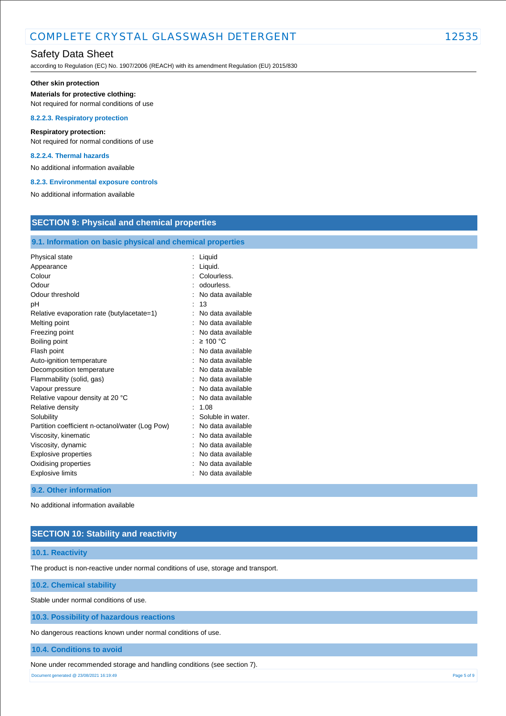# Safety Data Sheet

according to Regulation (EC) No. 1907/2006 (REACH) with its amendment Regulation (EU) 2015/830

#### **Other skin protection**

#### **Materials for protective clothing:**

Not required for normal conditions of use

#### **8.2.2.3. Respiratory protection**

**Respiratory protection:**

Not required for normal conditions of use

## **8.2.2.4. Thermal hazards**

No additional information available

#### **8.2.3. Environmental exposure controls**

No additional information available

# **SECTION 9: Physical and chemical properties**

## **9.1. Information on basic physical and chemical properties**

| Physical state                                  | Liquid            |
|-------------------------------------------------|-------------------|
|                                                 |                   |
| Appearance                                      | Liquid.           |
| Colour                                          | Colourless.       |
| Odour                                           | odourless.        |
| Odour threshold                                 | No data available |
| рH                                              | 13                |
| Relative evaporation rate (butylacetate=1)      | No data available |
| Melting point                                   | No data available |
| Freezing point                                  | No data available |
| Boiling point                                   | $\geq 100$ °C     |
| Flash point                                     | No data available |
| Auto-ignition temperature                       | No data available |
| Decomposition temperature                       | No data available |
| Flammability (solid, gas)                       | No data available |
| Vapour pressure                                 | No data available |
| Relative vapour density at 20 °C                | No data available |
| Relative density                                | 1.08              |
| Solubility                                      | Soluble in water. |
| Partition coefficient n-octanol/water (Log Pow) | No data available |
| Viscosity, kinematic                            | No data available |
| Viscosity, dynamic                              | No data available |
| Explosive properties                            | No data available |
| Oxidising properties                            | No data available |
| <b>Explosive limits</b>                         | No data available |

## **9.2. Other information**

No additional information available

## **SECTION 10: Stability and reactivity**

#### **10.1. Reactivity**

The product is non-reactive under normal conditions of use, storage and transport.

#### **10.2. Chemical stability**

Stable under normal conditions of use.

#### **10.3. Possibility of hazardous reactions**

No dangerous reactions known under normal conditions of use.

#### **10.4. Conditions to avoid**

None under recommended storage and handling conditions (see section 7).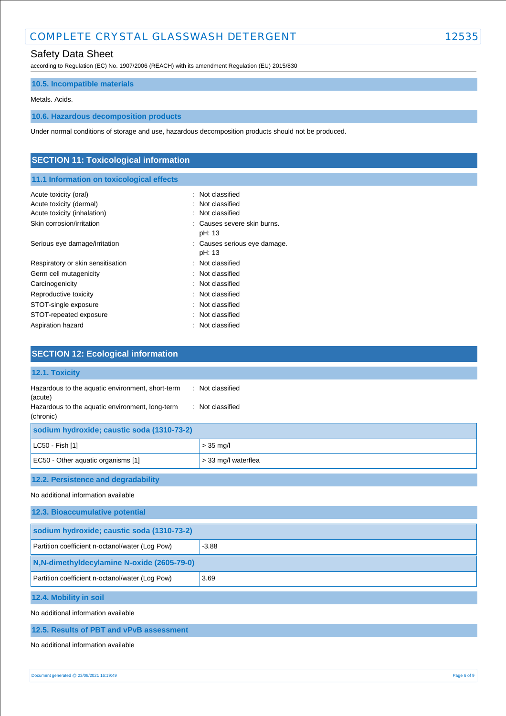# Safety Data Sheet

according to Regulation (EC) No. 1907/2006 (REACH) with its amendment Regulation (EU) 2015/830

# **10.5. Incompatible materials**

#### Metals. Acids.

# **10.6. Hazardous decomposition products**

Under normal conditions of storage and use, hazardous decomposition products should not be produced.

| <b>SECTION 11: Toxicological information</b>                                    |                                                                 |  |
|---------------------------------------------------------------------------------|-----------------------------------------------------------------|--|
| 11.1 Information on toxicological effects                                       |                                                                 |  |
| Acute toxicity (oral)<br>Acute toxicity (dermal)<br>Acute toxicity (inhalation) | Not classified<br>$\bullet$<br>Not classified<br>Not classified |  |
| Skin corrosion/irritation                                                       | : Causes severe skin burns.<br>pH: 13                           |  |
| Serious eye damage/irritation                                                   | : Causes serious eye damage.<br>pH: 13                          |  |
| Respiratory or skin sensitisation                                               | : Not classified                                                |  |
| Germ cell mutagenicity                                                          | : Not classified                                                |  |
| Carcinogenicity                                                                 | Not classified                                                  |  |
| Reproductive toxicity                                                           | Not classified                                                  |  |
| STOT-single exposure                                                            | Not classified<br>÷                                             |  |
| STOT-repeated exposure                                                          | Not classified                                                  |  |
| Aspiration hazard                                                               | Not classified                                                  |  |

| <b>SLUTION IZ. LUDIOGIUM INIUI INAUDII</b>                                                                                  |                                      |  |
|-----------------------------------------------------------------------------------------------------------------------------|--------------------------------------|--|
| 12.1. Toxicity                                                                                                              |                                      |  |
| Hazardous to the aquatic environment, short-term<br>(acute)<br>Hazardous to the aquatic environment, long-term<br>(chronic) | : Not classified<br>: Not classified |  |
| sodium hydroxide; caustic soda (1310-73-2)                                                                                  |                                      |  |
| LC50 - Fish [1]                                                                                                             | $> 35$ mg/l                          |  |
| EC50 - Other aquatic organisms [1]                                                                                          | > 33 mg/l waterflea                  |  |
| 12.2. Persistence and degradability                                                                                         |                                      |  |
| No additional information available                                                                                         |                                      |  |
| 12.3. Bioaccumulative potential                                                                                             |                                      |  |
| sodium hydroxide; caustic soda (1310-73-2)                                                                                  |                                      |  |
| Partition coefficient n-octanol/water (Log Pow)                                                                             | $-3.88$                              |  |
| N, N-dimethyldecylamine N-oxide (2605-79-0)                                                                                 |                                      |  |
| Partition coefficient n-octanol/water (Log Pow)                                                                             | 3.69                                 |  |

**12.4. Mobility in soil**

**SECTION 12: Ecologic** 

No additional information available

**12.5. Results of PBT and vPvB assessment**

No additional information available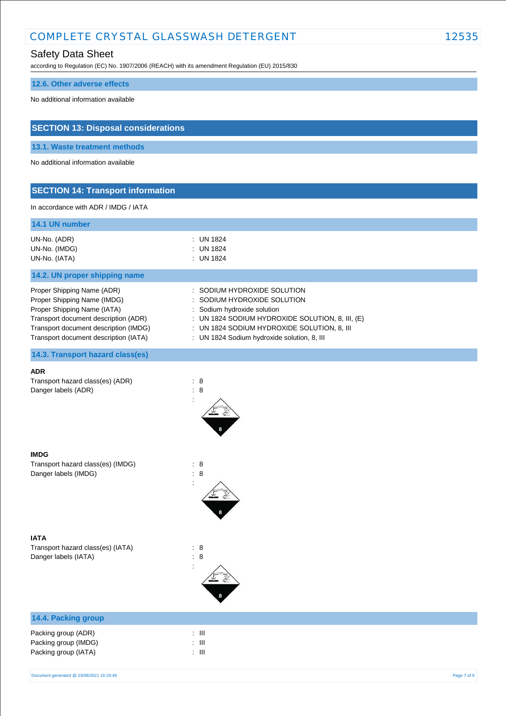# Safety Data Sheet

according to Regulation (EC) No. 1907/2006 (REACH) with its amendment Regulation (EU) 2015/830

#### **12.6. Other adverse effects**

No additional information available

# **SECTION 13: Disposal considerations**

**13.1. Waste treatment methods**

No additional information available

# **SECTION 14: Transport information**

In accordance with ADR / IMDG / IATA

| 14.1 UN number |             |
|----------------|-------------|
| UN-No. (ADR)   | : UN 1824   |
| UN-No. (IMDG)  | $:$ UN 1824 |
| UN-No. (IATA)  | : UN 1824   |

## **14.2. UN proper shipping name**

Proper Shipping Name (ADR) : SODIUM HYDROXIDE SOLUTION Proper Shipping Name (IMDG) : SODIUM HYDROXIDE SOLUTION Proper Shipping Name (IATA) : Sodium hydroxide solution Transport document description (ADR) : UN 1824 SODIUM HYDROXIDE SOLUTION, 8, III, (E) Transport document description (IMDG) : UN 1824 SODIUM HYDROXIDE SOLUTION, 8, III Transport document description (IATA) : UN 1824 Sodium hydroxide solution, 8, III

**14.3. Transport hazard class(es)**

# **ADR**

Transport hazard class(es) (ADR) : 8 Danger labels (ADR) : 8



:

#### **IMDG**

Transport hazard class(es) (IMDG) : 8 Danger labels (IMDG)  $\qquad \qquad$  : 8



Transport hazard class(es) (IATA) : 8 Danger labels (IATA) : 8

# :

# **14.4. Packing group**

| Packing group (ADR)  | : III |
|----------------------|-------|
| Packing group (IMDG) | : III |
| Packing group (IATA) | : III |

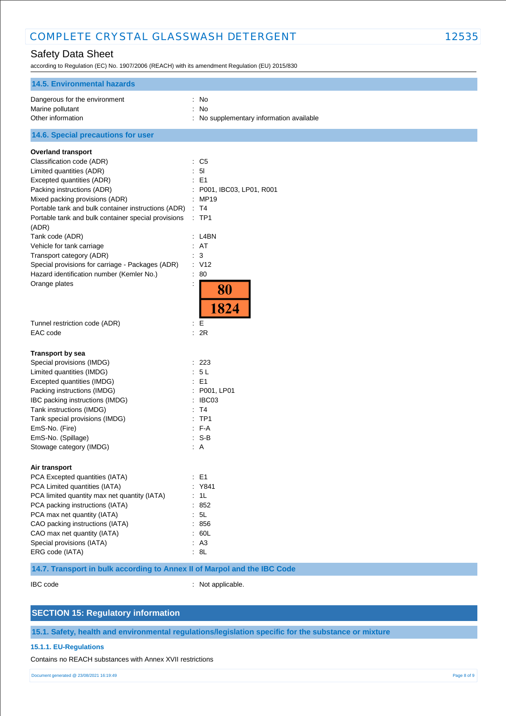# Safety Data Sheet

according to Regulation (EC) No. 1907/2006 (REACH) with its amendment Regulation (EU) 2015/830

| <b>14.5. Environmental hazards</b>                                                                                                                                                                                                                                                                                   |                                                                                                      |
|----------------------------------------------------------------------------------------------------------------------------------------------------------------------------------------------------------------------------------------------------------------------------------------------------------------------|------------------------------------------------------------------------------------------------------|
| Dangerous for the environment<br>Marine pollutant<br>Other information                                                                                                                                                                                                                                               | : No<br>No<br>No supplementary information available                                                 |
| 14.6. Special precautions for user                                                                                                                                                                                                                                                                                   |                                                                                                      |
| <b>Overland transport</b>                                                                                                                                                                                                                                                                                            |                                                                                                      |
| Classification code (ADR)<br>Limited quantities (ADR)<br>Excepted quantities (ADR)<br>Packing instructions (ADR)<br>Mixed packing provisions (ADR)<br>Portable tank and bulk container instructions (ADR)<br>Portable tank and bulk container special provisions<br>(ADR)                                            | : C5<br>5 <sub>l</sub><br>E <sub>1</sub><br>P001, IBC03, LP01, R001<br>MP19<br>T4<br>÷<br>:TP1       |
| Tank code (ADR)<br>Vehicle for tank carriage<br>Transport category (ADR)<br>Special provisions for carriage - Packages (ADR)<br>Hazard identification number (Kemler No.)<br>Orange plates                                                                                                                           | : L4BN<br>AT<br>$\mathbf{3}$<br>: V12<br>80<br>÷<br>80                                               |
| Tunnel restriction code (ADR)<br>EAC code                                                                                                                                                                                                                                                                            | 1824<br>Е<br>: 2R                                                                                    |
| <b>Transport by sea</b><br>Special provisions (IMDG)<br>Limited quantities (IMDG)<br>Excepted quantities (IMDG)<br>Packing instructions (IMDG)<br>IBC packing instructions (IMDG)<br>Tank instructions (IMDG)<br>Tank special provisions (IMDG)<br>EmS-No. (Fire)<br>EmS-No. (Spillage)<br>Stowage category (IMDG)   | : 223<br>5L<br>E <sub>1</sub><br>P001, LP01<br>IBC03<br>T4<br>TP <sub>1</sub><br>F-A<br>$S-B$<br>: A |
| Air transport<br>PCA Excepted quantities (IATA)<br>PCA Limited quantities (IATA)<br>PCA limited quantity max net quantity (IATA)<br>PCA packing instructions (IATA)<br>PCA max net quantity (IATA)<br>CAO packing instructions (IATA)<br>CAO max net quantity (IATA)<br>Special provisions (IATA)<br>ERG code (IATA) | : E1<br>: Y841<br>: 1L<br>: 852<br>5L<br>856<br>: 60L<br>: A3<br>: 8L                                |

# **14.7. Transport in bulk according to Annex II of Marpol and the IBC Code**

IBC code : Not applicable.

# **SECTION 15: Regulatory information**

**15.1. Safety, health and environmental regulations/legislation specific for the substance or mixture**

#### **15.1.1. EU-Regulations**

Contains no REACH substances with Annex XVII restrictions